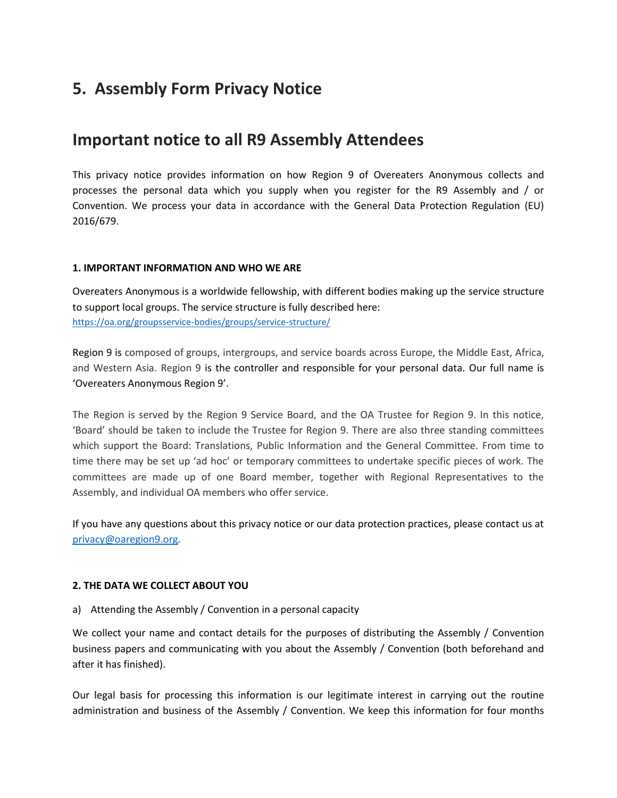# **5. Assembly Form Privacy Notice**

## **Important notice to all R9 Assembly Attendees**

This privacy notice provides information on how Region 9 of Overeaters Anonymous collects and processes the personal data which you supply when you register for the R9 Assembly and / or Convention. We process your data in accordance with the General Data Protection Regulation (EU) 2016/679.

#### **1. IMPORTANT INFORMATION AND WHO WE ARE**

Overeaters Anonymous is a worldwide fellowship, with different bodies making up the service structure to support local groups. The service structure is fully described here: <https://oa.org/groupsservice-bodies/groups/service-structure/>

Region 9 is composed of groups, intergroups, and service boards across Europe, the Middle East, Africa, and Western Asia. Region 9 is the controller and responsible for your personal data. Our full name is 'Overeaters Anonymous Region 9'.

The Region is served by the Region 9 Service Board, and the OA Trustee for Region 9. In this notice, 'Board' should be taken to include the Trustee for Region 9. There are also three standing committees which support the Board: Translations, Public Information and the General Committee. From time to time there may be set up 'ad hoc' or temporary committees to undertake specific pieces of work. The committees are made up of one Board member, together with Regional Representatives to the Assembly, and individual OA members who offer service.

If you have any questions about this privacy notice or our data protection practices, please contact us at [privacy@oaregion9.org](mailto:privacy@oaregion9.org)*.*

#### **2. THE DATA WE COLLECT ABOUT YOU**

a) Attending the Assembly / Convention in a personal capacity

We collect your name and contact details for the purposes of distributing the Assembly / Convention business papers and communicating with you about the Assembly / Convention (both beforehand and after it has finished).

Our legal basis for processing this information is our legitimate interest in carrying out the routine administration and business of the Assembly / Convention. We keep this information for four months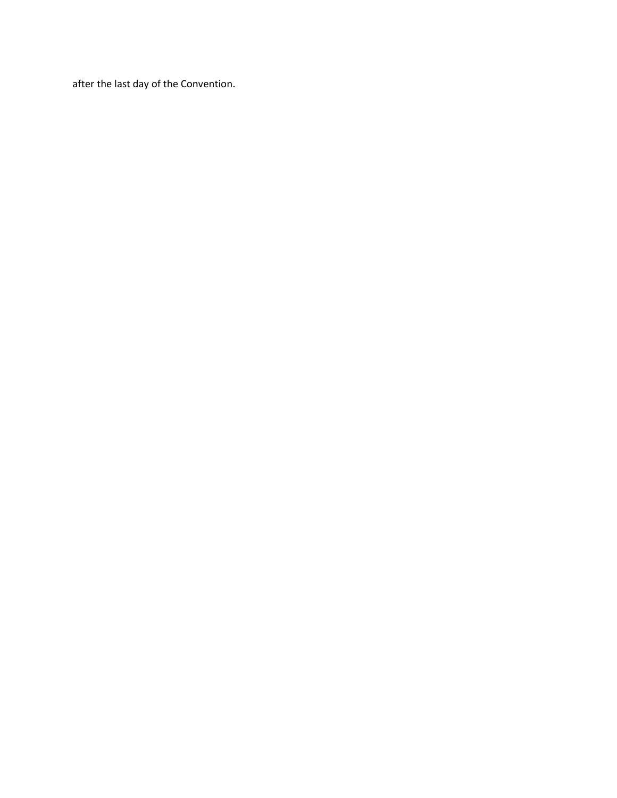after the last day of the Convention.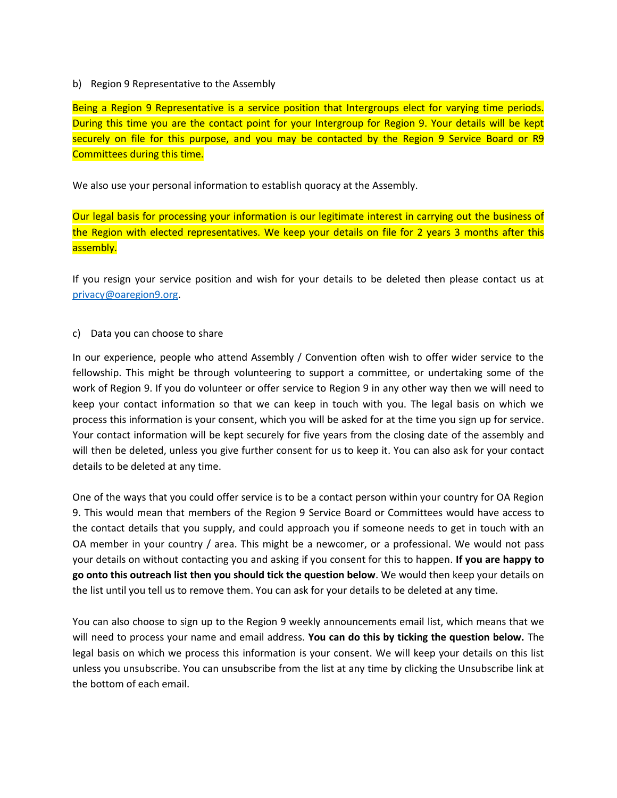#### b) Region 9 Representative to the Assembly

Being a Region 9 Representative is a service position that Intergroups elect for varying time periods. During this time you are the contact point for your Intergroup for Region 9. Your details will be kept securely on file for this purpose, and you may be contacted by the Region 9 Service Board or R9 Committees during this time.

We also use your personal information to establish quoracy at the Assembly.

Our legal basis for processing your information is our legitimate interest in carrying out the business of the Region with elected representatives. We keep your details on file for 2 years 3 months after this assembly.

If you resign your service position and wish for your details to be deleted then please contact us at [privacy@oaregion9.org.](mailto:privacy@oaregion9.org)

#### c) Data you can choose to share

In our experience, people who attend Assembly / Convention often wish to offer wider service to the fellowship. This might be through volunteering to support a committee, or undertaking some of the work of Region 9. If you do volunteer or offer service to Region 9 in any other way then we will need to keep your contact information so that we can keep in touch with you. The legal basis on which we process this information is your consent, which you will be asked for at the time you sign up for service. Your contact information will be kept securely for five years from the closing date of the assembly and will then be deleted, unless you give further consent for us to keep it. You can also ask for your contact details to be deleted at any time.

One of the ways that you could offer service is to be a contact person within your country for OA Region 9. This would mean that members of the Region 9 Service Board or Committees would have access to the contact details that you supply, and could approach you if someone needs to get in touch with an OA member in your country / area. This might be a newcomer, or a professional. We would not pass your details on without contacting you and asking if you consent for this to happen. **If you are happy to go onto this outreach list then you should tick the question below**. We would then keep your details on the list until you tell us to remove them. You can ask for your details to be deleted at any time.

You can also choose to sign up to the Region 9 weekly announcements email list, which means that we will need to process your name and email address. **You can do this by ticking the question below.** The legal basis on which we process this information is your consent. We will keep your details on this list unless you unsubscribe. You can unsubscribe from the list at any time by clicking the Unsubscribe link at the bottom of each email.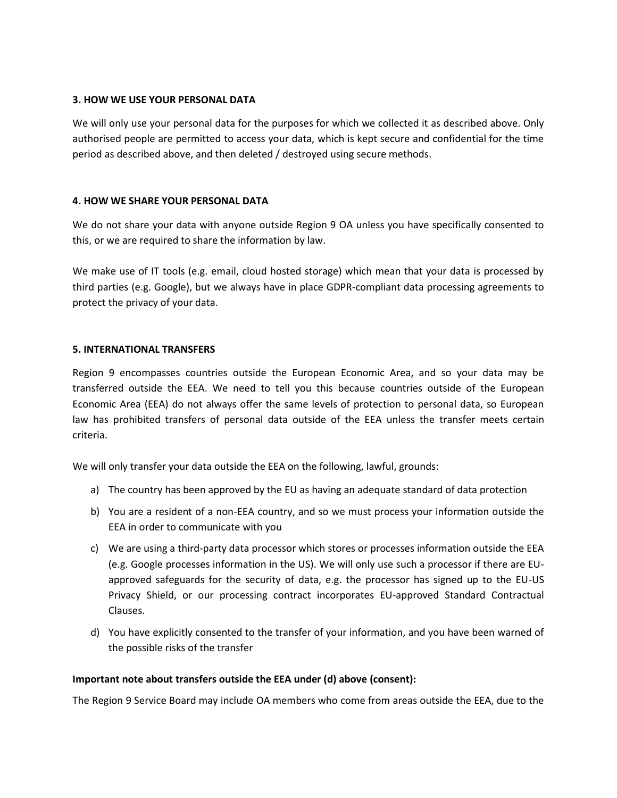#### **3. HOW WE USE YOUR PERSONAL DATA**

We will only use your personal data for the purposes for which we collected it as described above. Only authorised people are permitted to access your data, which is kept secure and confidential for the time period as described above, and then deleted / destroyed using secure methods.

#### **4. HOW WE SHARE YOUR PERSONAL DATA**

We do not share your data with anyone outside Region 9 OA unless you have specifically consented to this, or we are required to share the information by law.

We make use of IT tools (e.g. email, cloud hosted storage) which mean that your data is processed by third parties (e.g. Google), but we always have in place GDPR-compliant data processing agreements to protect the privacy of your data.

#### **5. INTERNATIONAL TRANSFERS**

Region 9 encompasses countries outside the European Economic Area, and so your data may be transferred outside the EEA. We need to tell you this because countries outside of the European Economic Area (EEA) do not always offer the same levels of protection to personal data, so European law has prohibited transfers of personal data outside of the EEA unless the transfer meets certain criteria.

We will only transfer your data outside the EEA on the following, lawful, grounds:

- a) The country has been approved by the EU as having an adequate standard of data protection
- b) You are a resident of a non-EEA country, and so we must process your information outside the EEA in order to communicate with you
- c) We are using a third-party data processor which stores or processes information outside the EEA (e.g. Google processes information in the US). We will only use such a processor if there are EUapproved safeguards for the security of data, e.g. the processor has signed up to the EU-US Privacy Shield, or our processing contract incorporates EU-approved Standard Contractual Clauses.
- d) You have explicitly consented to the transfer of your information, and you have been warned of the possible risks of the transfer

#### **Important note about transfers outside the EEA under (d) above (consent):**

The Region 9 Service Board may include OA members who come from areas outside the EEA, due to the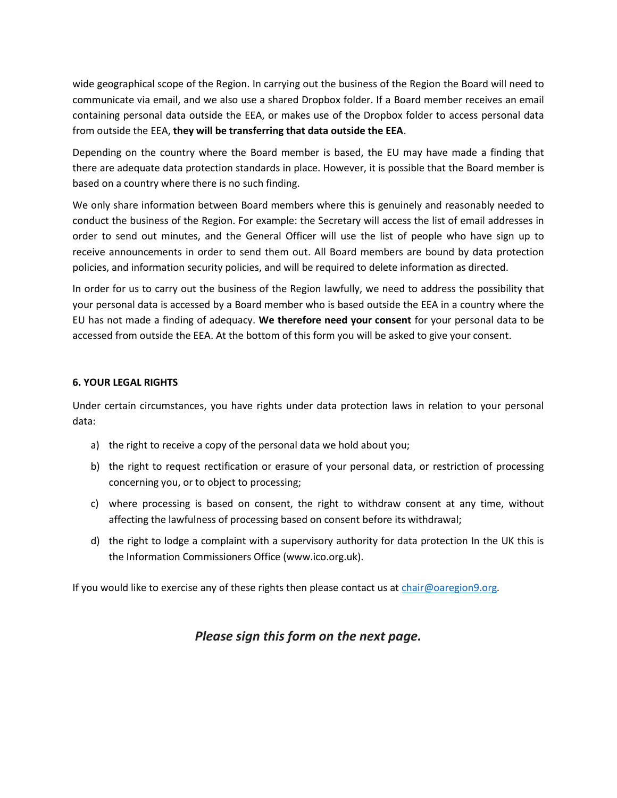wide geographical scope of the Region. In carrying out the business of the Region the Board will need to communicate via email, and we also use a shared Dropbox folder. If a Board member receives an email containing personal data outside the EEA, or makes use of the Dropbox folder to access personal data from outside the EEA, **they will be transferring that data outside the EEA**.

Depending on the country where the Board member is based, the EU may have made a finding that there are adequate data protection standards in place. However, it is possible that the Board member is based on a country where there is no such finding.

We only share information between Board members where this is genuinely and reasonably needed to conduct the business of the Region. For example: the Secretary will access the list of email addresses in order to send out minutes, and the General Officer will use the list of people who have sign up to receive announcements in order to send them out. All Board members are bound by data protection policies, and information security policies, and will be required to delete information as directed.

In order for us to carry out the business of the Region lawfully, we need to address the possibility that your personal data is accessed by a Board member who is based outside the EEA in a country where the EU has not made a finding of adequacy. **We therefore need your consent** for your personal data to be accessed from outside the EEA. At the bottom of this form you will be asked to give your consent.

#### **6. YOUR LEGAL RIGHTS**

Under certain circumstances, you have rights under data protection laws in relation to your personal data:

- a) the right to receive a copy of the personal data we hold about you;
- b) the right to request rectification or erasure of your personal data, or restriction of processing concerning you, or to object to processing;
- c) where processing is based on consent, the right to withdraw consent at any time, without affecting the lawfulness of processing based on consent before its withdrawal;
- d) the right to lodge a complaint with a supervisory authority for data protection In the UK this is the Information Commissioners Office (www.ico.org.uk).

If you would like to exercise any of these rights then please contact us a[t chair@oaregion9.org](mailto:chair@oaregion9.org)*.*

### *Please sign this form on the next page.*